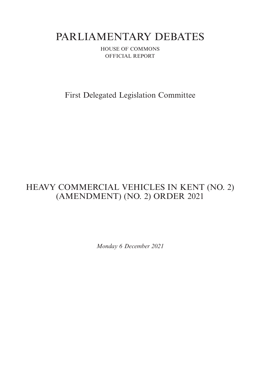# PARLIAMENTARY DEBATES

HOUSE OF COMMONS OFFICIAL REPORT

First Delegated Legislation Committee

## HEAVY COMMERCIAL VEHICLES IN KENT (NO. 2) (AMENDMENT) (NO. 2) ORDER 2021

*Monday 6 December 2021*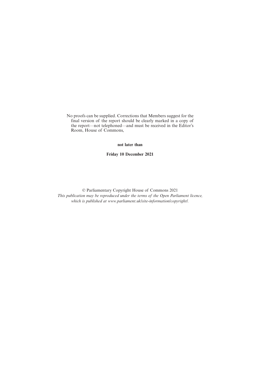No proofs can be supplied. Corrections that Members suggest for the final version of the report should be clearly marked in a copy of the report—not telephoned—and must be received in the Editor's Room, House of Commons,

**not later than**

**Friday 10 December 2021**

© Parliamentary Copyright House of Commons 2021 *This publication may be reproduced under the terms of the Open Parliament licence, which is published at www.parliament.uk/site-information/copyright/.*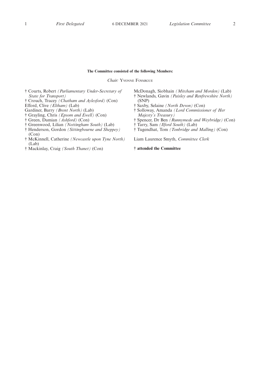#### **The Committee consisted of the following Members:**

*Chair:* YVONNE FOVARGUE

- † Courts, Robert *(Parliamentary Under-Secretary of State for Transport)*
- † Crouch, Tracey *(Chatham and Aylesford)* (Con)
- Efford, Clive *(Eltham)* (Lab)
- Gardiner, Barry *(Brent North)* (Lab)
- † Grayling, Chris *(Epsom and Ewell)* (Con)
- † Green, Damian *(Ashford)* (Con)
- † Greenwood, Lilian *(Nottingham South)* (Lab) † Henderson, Gordon *(Sittingbourne and Sheppey)*
- (Con)
- † McKinnell, Catherine *(Newcastle upon Tyne North)* (Lab)
- † Mackinlay, Craig *(South Thanet)* (Con)
- McDonagh, Siobhain *(Mitcham and Morden)* (Lab) † Newlands, Gavin *(Paisley and Renfrewshire North)* (SNP)
- † Saxby, Selaine *(North Devon)* (Con)
- † Solloway, Amanda *(Lord Commissioner of Her Majesty's Treasury)*
- † Spencer, Dr Ben *(Runnymede and Weybridge)* (Con)
- † Tarry, Sam *(Ilford South)* (Lab)
- † Tugendhat, Tom *(Tonbridge and Malling)* (Con)

Liam Laurence Smyth, *Committee Clerk*

**† attended the Committee**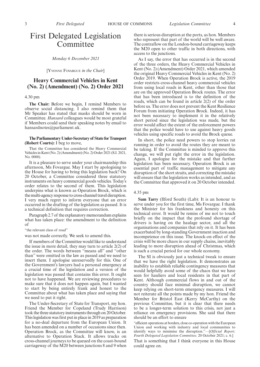### First Delegated Legislation Committee

*Monday 6 December 2021*

[YVONNE FOVARGUE *in the Chair*]

#### **Heavy Commercial Vehicles in Kent (No. 2) (Amendment) (No. 2) Order 2021**

#### 4.30 pm

**The Chair:** Before we begin, I remind Members to observe social distancing. I also remind them that Mr Speaker has stated that masks should be worn in Committee. *Hansard* colleagues would be most grateful if Members could send their speaking notes by email to hansardnotes@parliament.uk.

#### **The Parliamentary Under-Secretary of State for Transport (Robert Courts):** I beg to move,

That the Committee has considered the Heavy Commercial Vehicles in Kent (No. 2) (Amendment) (No. 2) Order 2021 (S.I. 2021, No. 0000).

It is a pleasure to serve under your chairmanship this afternoon, Ms Fovargue. May I start by apologising to the House for having to bring this legislation back? On 20 October, a Committee considered three statutory instruments on heavy commercial goods vehicles. Today's order relates to the second of them. This legislation underpins what is known as Operation Brock, which is the multi-agency response to cross-channel travel disruption. I very much regret to inform everyone that an error occurred in the drafting of the legislation as passed. It is a technical definition that requires correction.

Paragraph 2.7 of the explanatory memorandum explains what has taken place: the amendment to the definition  $\alpha$ f

"the relevant class of road"

was not made correctly. We seek to amend this.

If members of the Committee would like to understand the issue in more detail, they may turn to article 2(2) of the order. The words between "means all" and "other than" were omitted in the law as passed and we need to insert them. I apologise unreservedly for this. One of the Government's lawyers had a personal emergency at a crucial time of the legislation and a version of the legislation was passed that contains this error. It ought not to have happened. We are reviewing procedures to make sure that it does not happen again, but I wanted to start by being entirely frank and honest to the Committee about what has taken place and saying that we need to put it right.

The Under-Secretary of State for Transport, my hon. Friend the Member for Copeland (Trudy Harrison) took the three statutory instruments through on 20 October. This legislation was first put in place in 2019 as preparation for a no-deal departure from the European Union. It has been amended on a number of occasions since then. Operation Brock, as the Committee will know, is an alternative to Operation Stack. It allows trucks on cross-channel journeys to be queued on the coast-bound carriageway of the M20 between junctions 8 and 9 when there is serious disruption at the ports, as hon. Members who represent that part of the world will be well aware. The contraflow on the London-bound carriageway keeps the M20 open to other traffic in both directions, with access to the junctions.

As I say, the error that has occurred is in the second of the three orders, the Heavy Commercial Vehicles in Kent (No. 2) (Amendment) Order 2021, which amended the original Heavy Commercial Vehicles in Kent (No. 2) Order 2019. When Operation Brock is active, the 2019 order restricts cross-channel heavy commercial vehicles from using local roads in Kent, other than those that are on the approved Operation Brock routes. The error that has been introduced is to the definition of the roads, which can be found in article 2(2) of the order before us. The error does not prevent the Kent Resilience Forum from initiating Operation Brock. Indeed, it has not been necessary to implement it in the relatively short period since the legislation was made, but the error would affect the extent of the enforcement powers that the police would have to use against heavy goods vehicles using specific roads to avoid the Brock queue.

In short, the police need powers to stop lorries rat running in order to avoid the routes they are meant to be taking. If the Committee is minded to approve this change, we will put right the error in the legislation. Again, I apologise for the mistake and that further legislation has been necessary. Operation Brock is an essential part of traffic management to mitigate any disruption of the short straits, and correcting the mistake will ensure that the legislation works as intended, and as the Committee that approved it on 20 October intended.

#### 4.35 pm

**Sam Tarry** (Ilford South) (Lab): It is an honour to serve under you for the first time, Ms Fovargue. I thank the Minister for his frankness and honesty on this technical error. It would be remiss of me not to touch briefly on the impact that the profound shortage of drivers is having on the haulage sector, and all the organisations and companies that rely on it. It has been exacerbated by long-standing Government inaction and incompetence on this issue. The knock-on effect of the crisis will be more chaos in our supply chains, inevitably leading to more disruption ahead of Christmas, which is such a crucial period for our whole economy.

The SI is obviously just a technical tweak to ensure that we have the right legislation. It demonstrates an inability to establish reliable contingency measures that would helpfully avoid some of the chaos that we have seen for hauliers and local residents in that part of Kent. Although commercial flows in and out of the country should face minimal disruption, we cannot keep relying on short-term emergency measures. I will not reiterate all the points made by my hon. Friend the Member for Bristol East (Kerry McCarthy) on the previous Committee, but it is clear that there needs to be a longer-term solution to this crisis, not just a reliance on emergency provisions. She said that there should be an effort to ensure

"efficient operations at borders, close co-operation with the European Union and working with industry and local communities to identify ways to minimise the disruption."—[*Official Report, Fourth Delegated Legislation Committee,* 20 October 2021; c. 6.]

That is something that I think everyone in this House could agree on.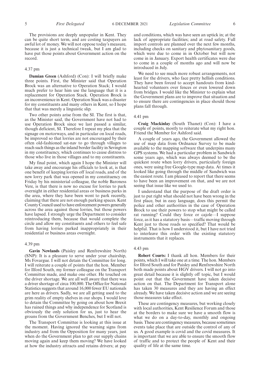The provisions are deeply unpopular in Kent. They can be quite short term, and are costing taxpayers an awful lot of money. We will not oppose today's measure, because it is just a technical tweak, but I am glad to have put those points about Government action on the record.

#### 4.37 pm

**Damian Green** (Ashford) (Con): I will briefly make three points. First, the Minister said that Operation Brock was an alternative to Operation Stack; I would much prefer to hear him use the language that it is a replacement for Operation Stack. Operation Brock is an inconvenience in Kent. Operation Stack was a disaster for my constituents and many others in Kent, so I hope that that was merely a linguistic slip.

Two other points arise from the SI. The first is that, as the Minister said, the Government have not had to use Operation Brock since we last passed a similar, though deficient, SI. Therefore I repeat my plea that the signage on motorways, and in particular on local roads, be improved so that lorries are not encouraged by their often old-fashioned sat-nav to go through villages to reach such things as the inland border facility in Sevington in my constituency, which continues to cause distress to those who live in those villages and to my constituents.

My final point, which again I hope the Minister will take away and encourage his officials to look at, is that one benefit of keeping lorries off local roads, and of the new lorry park that was opened in my constituency on Friday by his ministerial colleague, the noble Baroness Vere, is that there is now no excuse for lorries to park overnight in either residential areas or business parks in the area, where they have been wont to park recently, claiming that there are not enough parking spaces. Kent County Council used to have enforcement powers generally across the area against those lorries, but those powers have lapsed. I strongly urge the Department to consider reintroducing them, because that would complete the circle and allow my constituents and others to feel safe from having lorries parked inappropriately in their residential or business areas overnight.

#### 4.39 pm

**Gavin Newlands** (Paisley and Renfrewshire North) (SNP): It is a pleasure to serve under your chairship, Ms Fovargue. I will not detain the Committee for long. I will reiterate a couple of points that the hon. Member for Ilford South, my former colleague on the Transport Committee made, and make one other. He touched on the driver shortage. We are all well aware that there was a driver shortage of circa 100,000. The Office for National Statistics suggests that around 16,000 fewer EU nationals are here as drivers. Sadly, we are all getting used to the grim reality of empty shelves in our shops. I would love to detain the Committee by going on about how Brexit has ruined things and why independence for Scotland is obviously the only solution for us, just to hear the groans from the Government Benches, but I will not.

The Transport Committee is looking at this issue at the moment. Having ignored the warning signs from industry and from the Opposition for many years, just when do the Government plan to get our supply chains moving again and keep them moving? We have looked at how the industry attracts and retains drivers; at pay and conditions, which was have seen an uptick in; at the lack of appropriate facilities; and at road safety. Full import controls are planned over the next few months, including checks on sanitary and phytosanitary goods, which were due to come in in October but will now come in in January. Export health certificates were due to come in a couple of months ago and will now be introduced in July.

We need to see much more robust arrangements, not least for the drivers, who face pretty hellish conditions. They have been forced to accept handouts from kindhearted volunteers over fences or even lowered down from bridges. I would like the Minister to explain what the Government plans are to improve that situation and to ensure there are contingencies in place should those plans fall through.

#### 4.41 pm

**Craig Mackinlay** (South Thanet) (Con): I have a couple of points, mostly to reiterate what my right hon. Friend the Member for Ashford said.

A couple of years ago, the Government allowed the use of map data from Ordnance Survey to be made available to the mapping software that underpins many GPS systems. We had a particular problem in Sandwich some years ago, which was always deemed to be the quickest route when lorry drivers, particularly foreign ones, were using free Google-type map data. At times it looked like going through the middle of Sandwich was the easiest route. I am pleased to report that there seems to have been an improvement on that, and we are not seeing that issue like we used to.

I understand that the purpose of the draft order is just to put right what should not have been wrong in the first place, but in easy language, does this permit the police and other authorities in the case of Operation Brock to use their powers to stop what might be called rat running? Could they force or cajole—I suppose force, as it has a statutory basis—traffic moving through Kent just to those roads so specified? That would be helpful. That is how I understood it, but I have not tried to interleave this order with the existing statutory instruments that it replaces.

#### 4.43 pm

**Robert Courts:** I thank all hon. Members for their points, which I will take one at a time. The hon. Members for Ilford South and for Paisley and Renfrewshire North both made points about HGV drivers. I will not go into great detail because it is slightly off topic, but I would point out that the Government have taken decisive action on that. The Department for Transport alone has taken 30 measures and they are having an effect already. We have taken decisive action and we are seeing those measures take effect.

These are contingency measures, but working closely with local authorities, Kent Resilience Forum and those at the borders to make sure we have a smooth flow is what we do on a day-to-day, monthly and ongoing basis. These are contingency measures, because sometimes events take place that are outside the control of any of us. A good example is covid and the covid measures. It is important that we are able to ensure the smooth flow of traffic and to protect the people of Kent and their quality of life at the same time.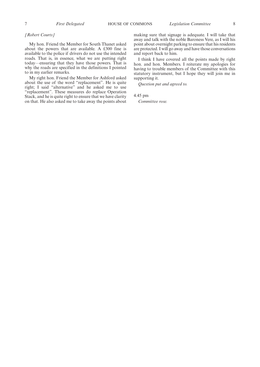#### *[Robert Courts]*

My hon. Friend the Member for South Thanet asked about the powers that are available. A £300 fine is available to the police if drivers do not use the intended roads. That is, in essence, what we are putting right today—ensuring that they have those powers. That is why the roads are specified in the definitions I pointed to in my earlier remarks.

My right hon. Friend the Member for Ashford asked about the use of the word "replacement". He is quite right; I said "alternative" and he asked me to use "replacement". These measures do replace Operation Stack, and he is quite right to ensure that we have clarity on that. He also asked me to take away the points about making sure that signage is adequate. I will take that away and talk with the noble Baroness Vere, as I will his point about overnight parking to ensure that his residents are protected. I will go away and have those conversations and report back to him.

I think I have covered all the points made by right hon. and hon. Members. I reiterate my apologies for having to trouble members of the Committee with this statutory instrument, but I hope they will join me in supporting it.

*Question put and agreed to.*

4.45 pm

*Committee rose.*